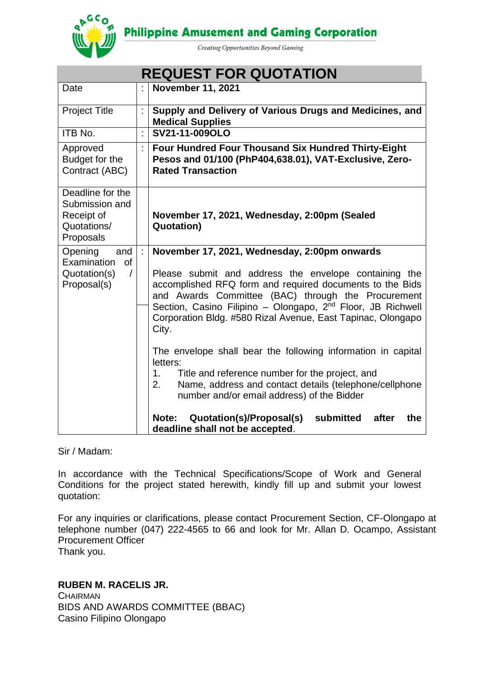**Philippine Amusement and Gaming Corporation** 



Creating Opportunities Beyond Gaming

|                                                                              | <b>REQUEST FOR QUOTATION</b>                                                                                                                                            |                                                                                                                                                                                                                                                 |  |  |  |
|------------------------------------------------------------------------------|-------------------------------------------------------------------------------------------------------------------------------------------------------------------------|-------------------------------------------------------------------------------------------------------------------------------------------------------------------------------------------------------------------------------------------------|--|--|--|
| Date                                                                         |                                                                                                                                                                         | <b>November 11, 2021</b>                                                                                                                                                                                                                        |  |  |  |
| <b>Project Title</b>                                                         | Ì                                                                                                                                                                       | Supply and Delivery of Various Drugs and Medicines, and<br><b>Medical Supplies</b>                                                                                                                                                              |  |  |  |
| ITB No.                                                                      | ÷.                                                                                                                                                                      | SV21-11-009OLO                                                                                                                                                                                                                                  |  |  |  |
| Approved<br>Budget for the<br>Contract (ABC)                                 |                                                                                                                                                                         | <b>Four Hundred Four Thousand Six Hundred Thirty-Eight</b><br>Pesos and 01/100 (PhP404,638.01), VAT-Exclusive, Zero-<br><b>Rated Transaction</b>                                                                                                |  |  |  |
| Deadline for the<br>Submission and<br>Receipt of<br>Quotations/<br>Proposals |                                                                                                                                                                         | November 17, 2021, Wednesday, 2:00pm (Sealed<br><b>Quotation)</b>                                                                                                                                                                               |  |  |  |
| Opening<br>and                                                               | ÷                                                                                                                                                                       | November 17, 2021, Wednesday, 2:00pm onwards                                                                                                                                                                                                    |  |  |  |
| Examination<br><b>of</b><br>Quotation(s)<br>$\prime$<br>Proposal(s)          | Please submit and address the envelope containing the<br>accomplished RFQ form and required documents to the Bids<br>and Awards Committee (BAC) through the Procurement |                                                                                                                                                                                                                                                 |  |  |  |
|                                                                              |                                                                                                                                                                         | Section, Casino Filipino - Olongapo, 2 <sup>nd</sup> Floor, JB Richwell<br>Corporation Bldg. #580 Rizal Avenue, East Tapinac, Olongapo<br>City.                                                                                                 |  |  |  |
|                                                                              |                                                                                                                                                                         | The envelope shall bear the following information in capital<br>letters:<br>Title and reference number for the project, and<br>1.<br>Name, address and contact details (telephone/cellphone<br>2.<br>number and/or email address) of the Bidder |  |  |  |
|                                                                              |                                                                                                                                                                         | Quotation(s)/Proposal(s)<br>submitted<br>after<br>the<br>Note:<br>deadline shall not be accepted.                                                                                                                                               |  |  |  |

Sir / Madam:

In accordance with the Technical Specifications/Scope of Work and General Conditions for the project stated herewith, kindly fill up and submit your lowest quotation:

For any inquiries or clarifications, please contact Procurement Section, CF-Olongapo at telephone number (047) 222-4565 to 66 and look for Mr. Allan D. Ocampo, Assistant Procurement Officer Thank you.

**RUBEN M. RACELIS JR.**

**CHAIRMAN** BIDS AND AWARDS COMMITTEE (BBAC) Casino Filipino Olongapo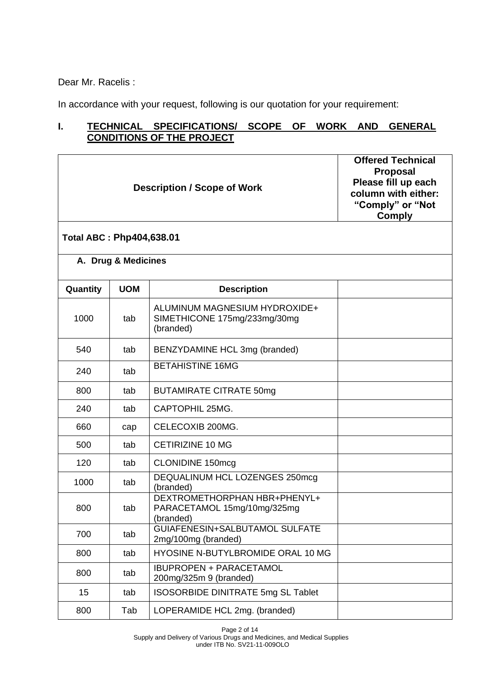Dear Mr. Racelis :

In accordance with your request, following is our quotation for your requirement:

# **I. TECHNICAL SPECIFICATIONS/ SCOPE OF WORK AND GENERAL CONDITIONS OF THE PROJECT**

|          | <b>Description / Scope of Work</b> | <b>Offered Technical</b><br><b>Proposal</b><br>Please fill up each<br>column with either:<br>"Comply" or "Not<br><b>Comply</b> |  |  |  |  |  |
|----------|------------------------------------|--------------------------------------------------------------------------------------------------------------------------------|--|--|--|--|--|
|          | <b>Total ABC: Php404,638.01</b>    |                                                                                                                                |  |  |  |  |  |
|          | A. Drug & Medicines                |                                                                                                                                |  |  |  |  |  |
| Quantity | <b>UOM</b>                         | <b>Description</b>                                                                                                             |  |  |  |  |  |
| 1000     | tab                                | ALUMINUM MAGNESIUM HYDROXIDE+<br>SIMETHICONE 175mg/233mg/30mg<br>(branded)                                                     |  |  |  |  |  |
| 540      | tab                                | BENZYDAMINE HCL 3mg (branded)                                                                                                  |  |  |  |  |  |
| 240      | tab                                | <b>BETAHISTINE 16MG</b>                                                                                                        |  |  |  |  |  |
| 800      | tab                                | <b>BUTAMIRATE CITRATE 50mg</b>                                                                                                 |  |  |  |  |  |
| 240      | tab                                | CAPTOPHIL 25MG.                                                                                                                |  |  |  |  |  |
| 660      | cap                                | CELECOXIB 200MG.                                                                                                               |  |  |  |  |  |
| 500      | tab                                | <b>CETIRIZINE 10 MG</b>                                                                                                        |  |  |  |  |  |
| 120      | tab                                | <b>CLONIDINE 150mcg</b>                                                                                                        |  |  |  |  |  |
| 1000     | tab                                | DEQUALINUM HCL LOZENGES 250mcg<br>(branded)                                                                                    |  |  |  |  |  |
| 800      | tab                                | DEXTROMETHORPHAN HBR+PHENYL+<br>PARACETAMOL 15mg/10mg/325mg<br>(branded)                                                       |  |  |  |  |  |
| 700      | tab                                | GUIAFENESIN+SALBUTAMOL SULFATE<br>2mg/100mg (branded)                                                                          |  |  |  |  |  |
| 800      | tab                                | HYOSINE N-BUTYLBROMIDE ORAL 10 MG                                                                                              |  |  |  |  |  |
| 800      | tab                                | <b>IBUPROPEN + PARACETAMOL</b><br>200mg/325m 9 (branded)                                                                       |  |  |  |  |  |
| 15       | tab                                | <b>ISOSORBIDE DINITRATE 5mg SL Tablet</b>                                                                                      |  |  |  |  |  |
| 800      | Tab                                | LOPERAMIDE HCL 2mg. (branded)                                                                                                  |  |  |  |  |  |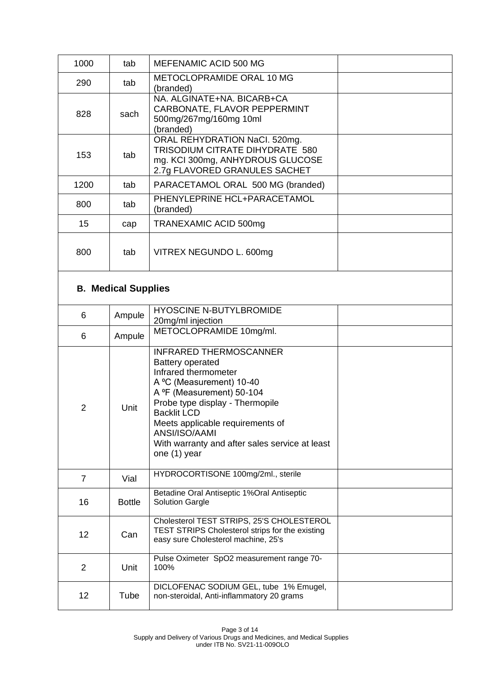| 1000           | tab                        | MEFENAMIC ACID 500 MG                                                                                                                                                                                                                                                                                                     |  |
|----------------|----------------------------|---------------------------------------------------------------------------------------------------------------------------------------------------------------------------------------------------------------------------------------------------------------------------------------------------------------------------|--|
| 290            | tab                        | METOCLOPRAMIDE ORAL 10 MG<br>(branded)                                                                                                                                                                                                                                                                                    |  |
| 828            | sach                       | NA. ALGINATE+NA. BICARB+CA<br>CARBONATE, FLAVOR PEPPERMINT<br>500mg/267mg/160mg 10ml<br>(branded)                                                                                                                                                                                                                         |  |
| 153            | tab                        | ORAL REHYDRATION NaCl. 520mg.<br>TRISODIUM CITRATE DIHYDRATE 580<br>mg. KCI 300mg, ANHYDROUS GLUCOSE<br>2.7g FLAVORED GRANULES SACHET                                                                                                                                                                                     |  |
| 1200           | tab                        | PARACETAMOL ORAL 500 MG (branded)                                                                                                                                                                                                                                                                                         |  |
| 800            | tab                        | PHENYLEPRINE HCL+PARACETAMOL<br>(branded)                                                                                                                                                                                                                                                                                 |  |
| 15             | cap                        | <b>TRANEXAMIC ACID 500mg</b>                                                                                                                                                                                                                                                                                              |  |
| 800            | tab                        | VITREX NEGUNDO L. 600mg                                                                                                                                                                                                                                                                                                   |  |
|                | <b>B. Medical Supplies</b> |                                                                                                                                                                                                                                                                                                                           |  |
| 6              | Ampule                     | <b>HYOSCINE N-BUTYLBROMIDE</b><br>20mg/ml injection                                                                                                                                                                                                                                                                       |  |
| 6              | Ampule                     | METOCLOPRAMIDE 10mg/ml.                                                                                                                                                                                                                                                                                                   |  |
| $\overline{2}$ | Unit                       | <b>INFRARED THERMOSCANNER</b><br><b>Battery operated</b><br>Infrared thermometer<br>A °C (Measurement) 10-40<br>A ºF (Measurement) 50-104<br>Probe type display - Thermopile<br><b>Backlit LCD</b><br>Meets applicable requirements of<br>ANSI/ISO/AAMI<br>With warranty and after sales service at least<br>one (1) year |  |
| $\overline{7}$ | Vial                       | HYDROCORTISONE 100mg/2ml., sterile                                                                                                                                                                                                                                                                                        |  |
| 16             | <b>Bottle</b>              | Betadine Oral Antiseptic 1% Oral Antiseptic<br><b>Solution Gargle</b>                                                                                                                                                                                                                                                     |  |
| 12             | Can                        | Cholesterol TEST STRIPS, 25'S CHOLESTEROL<br><b>TEST STRIPS Cholesterol strips for the existing</b><br>easy sure Cholesterol machine, 25's                                                                                                                                                                                |  |
| $\overline{2}$ | Unit                       | Pulse Oximeter SpO2 measurement range 70-<br>100%                                                                                                                                                                                                                                                                         |  |
| 12             | Tube                       | DICLOFENAC SODIUM GEL, tube 1% Emugel,<br>non-steroidal, Anti-inflammatory 20 grams                                                                                                                                                                                                                                       |  |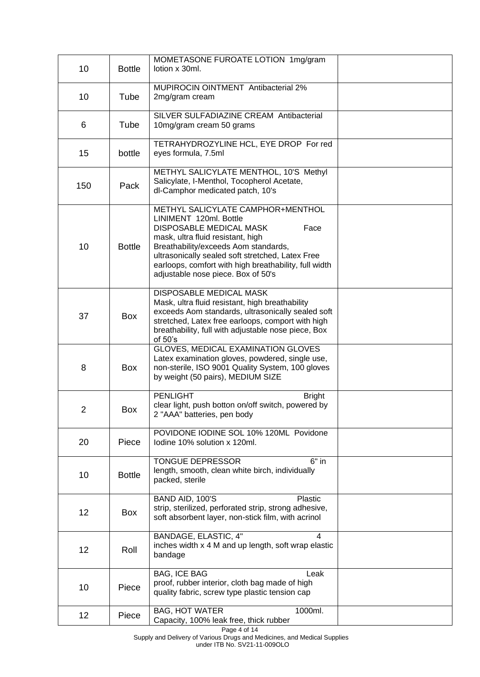| 10             | <b>Bottle</b> | MOMETASONE FUROATE LOTION 1mg/gram<br>lotion x 30ml.                                                                                                                                                                                                                                                                           |  |
|----------------|---------------|--------------------------------------------------------------------------------------------------------------------------------------------------------------------------------------------------------------------------------------------------------------------------------------------------------------------------------|--|
| 10             | Tube          | MUPIROCIN OINTMENT Antibacterial 2%<br>2mg/gram cream                                                                                                                                                                                                                                                                          |  |
| 6              | Tube          | SILVER SULFADIAZINE CREAM Antibacterial<br>10mg/gram cream 50 grams                                                                                                                                                                                                                                                            |  |
| 15             | bottle        | TETRAHYDROZYLINE HCL, EYE DROP For red<br>eyes formula, 7.5ml                                                                                                                                                                                                                                                                  |  |
| 150            | Pack          | METHYL SALICYLATE MENTHOL, 10'S Methyl<br>Salicylate, I-Menthol, Tocopherol Acetate,<br>dl-Camphor medicated patch, 10's                                                                                                                                                                                                       |  |
| 10             | <b>Bottle</b> | METHYL SALICYLATE CAMPHOR+MENTHOL<br>LINIMENT 120ml. Bottle<br>DISPOSABLE MEDICAL MASK<br>Face<br>mask, ultra fluid resistant, high<br>Breathability/exceeds Aom standards,<br>ultrasonically sealed soft stretched, Latex Free<br>earloops, comfort with high breathability, full width<br>adjustable nose piece. Box of 50's |  |
| 37             | <b>Box</b>    | <b>DISPOSABLE MEDICAL MASK</b><br>Mask, ultra fluid resistant, high breathability<br>exceeds Aom standards, ultrasonically sealed soft<br>stretched, Latex free earloops, comport with high<br>breathability, full with adjustable nose piece, Box<br>of $50's$                                                                |  |
| 8              | <b>Box</b>    | GLOVES, MEDICAL EXAMINATION GLOVES<br>Latex examination gloves, powdered, single use,<br>non-sterile, ISO 9001 Quality System, 100 gloves<br>by weight (50 pairs), MEDIUM SIZE                                                                                                                                                 |  |
| $\overline{2}$ | <b>Box</b>    | <b>PENLIGHT</b><br><b>Bright</b><br>clear light, push botton on/off switch, powered by<br>2 "AAA" batteries, pen body                                                                                                                                                                                                          |  |
| 20             | Piece         | POVIDONE IODINE SOL 10% 120ML Povidone<br>lodine 10% solution x 120ml.                                                                                                                                                                                                                                                         |  |
| 10             | <b>Bottle</b> | <b>TONGUE DEPRESSOR</b><br>$6"$ in<br>length, smooth, clean white birch, individually<br>packed, sterile                                                                                                                                                                                                                       |  |
| 12             | Box           | BAND AID, 100'S<br><b>Plastic</b><br>strip, sterilized, perforated strip, strong adhesive,<br>soft absorbent layer, non-stick film, with acrinol                                                                                                                                                                               |  |
| 12             | Roll          | BANDAGE, ELASTIC, 4"<br>$\overline{4}$<br>inches width x 4 M and up length, soft wrap elastic<br>bandage                                                                                                                                                                                                                       |  |
| 10             | Piece         | <b>BAG, ICE BAG</b><br>Leak<br>proof, rubber interior, cloth bag made of high<br>quality fabric, screw type plastic tension cap                                                                                                                                                                                                |  |
| 12             | Piece         | <b>BAG, HOT WATER</b><br>1000ml.<br>Capacity, 100% leak free, thick rubber                                                                                                                                                                                                                                                     |  |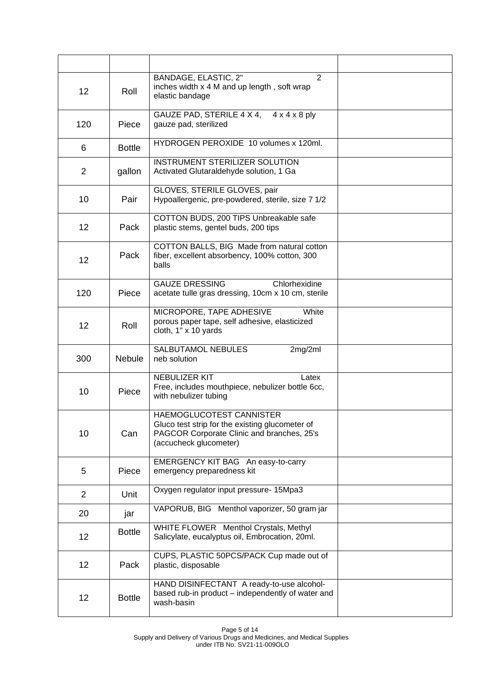| 12             | Roll          | BANDAGE, ELASTIC, 2"<br>2<br>inches width x 4 M and up length, soft wrap<br>elastic bandage                                                         |  |
|----------------|---------------|-----------------------------------------------------------------------------------------------------------------------------------------------------|--|
| 120            | Piece         | GAUZE PAD, STERILE 4 X 4,<br>$4 \times 4 \times 8$ ply<br>gauze pad, sterilized                                                                     |  |
| 6              | <b>Bottle</b> | HYDROGEN PEROXIDE 10 volumes x 120ml.                                                                                                               |  |
| $\overline{2}$ | gallon        | INSTRUMENT STERILIZER SOLUTION<br>Activated Glutaraldehyde solution, 1 Ga                                                                           |  |
| 10             | Pair          | GLOVES, STERILE GLOVES, pair<br>Hypoallergenic, pre-powdered, sterile, size 7 1/2                                                                   |  |
| 12             | Pack          | COTTON BUDS, 200 TIPS Unbreakable safe<br>plastic stems, gentel buds, 200 tips                                                                      |  |
| 12             | Pack          | COTTON BALLS, BIG Made from natural cotton<br>fiber, excellent absorbency, 100% cotton, 300<br>balls                                                |  |
| 120            | Piece         | Chlorhexidine<br><b>GAUZE DRESSING</b><br>acetate tulle gras dressing, 10cm x 10 cm, sterile                                                        |  |
| 12             | Roll          | MICROPORE, TAPE ADHESIVE<br>White<br>porous paper tape, self adhesive, elasticized<br>cloth, 1" x 10 yards                                          |  |
| 300            | <b>Nebule</b> | SALBUTAMOL NEBULES<br>2mg/2ml<br>neb solution                                                                                                       |  |
| 10             | Piece         | <b>NEBULIZER KIT</b><br>Latex<br>Free, includes mouthpiece, nebulizer bottle 6cc,<br>with nebulizer tubing                                          |  |
| 10             | Can           | HAEMOGLUCOTEST CANNISTER<br>Gluco test strip for the existing glucometer of<br>PAGCOR Corporate Clinic and branches, 25's<br>(accucheck glucometer) |  |
| 5              | Piece         | EMERGENCY KIT BAG An easy-to-carry<br>emergency preparedness kit                                                                                    |  |
| 2              | Unit          | Oxygen regulator input pressure- 15Mpa3                                                                                                             |  |
| 20             | jar           | VAPORUB, BIG Menthol vaporizer, 50 gram jar                                                                                                         |  |
| 12             | <b>Bottle</b> | WHITE FLOWER Menthol Crystals, Methyl<br>Salicylate, eucalyptus oil, Embrocation, 20ml.                                                             |  |
| 12             | Pack          | CUPS, PLASTIC 50PCS/PACK Cup made out of<br>plastic, disposable                                                                                     |  |
| 12             | <b>Bottle</b> | HAND DISINFECTANT A ready-to-use alcohol-<br>based rub-in product - independently of water and<br>wash-basin                                        |  |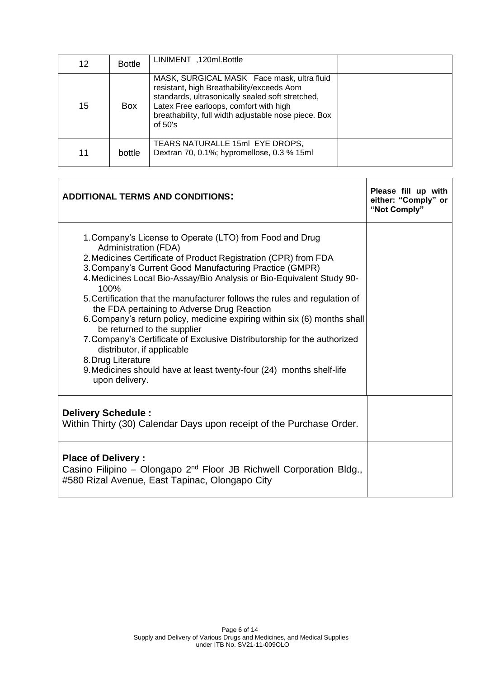| 12 | <b>Bottle</b> | LINIMENT, 120ml. Bottle                                                                                                                                                                                                                                    |  |
|----|---------------|------------------------------------------------------------------------------------------------------------------------------------------------------------------------------------------------------------------------------------------------------------|--|
| 15 | Box           | MASK, SURGICAL MASK Face mask, ultra fluid<br>resistant, high Breathability/exceeds Aom<br>standards, ultrasonically sealed soft stretched,<br>Latex Free earloops, comfort with high<br>breathability, full width adjustable nose piece. Box<br>of $50's$ |  |
| 11 | bottle        | TEARS NATURALLE 15ml EYE DROPS,<br>Dextran 70, 0.1%; hypromellose, 0.3 % 15ml                                                                                                                                                                              |  |

| <b>ADDITIONAL TERMS AND CONDITIONS:</b>                                                                                                                                                                                                                                                                                                                                                                                                                                                                                                                                                                                                                                                                                                                            | Please fill up with<br>either: "Comply" or<br>"Not Comply" |
|--------------------------------------------------------------------------------------------------------------------------------------------------------------------------------------------------------------------------------------------------------------------------------------------------------------------------------------------------------------------------------------------------------------------------------------------------------------------------------------------------------------------------------------------------------------------------------------------------------------------------------------------------------------------------------------------------------------------------------------------------------------------|------------------------------------------------------------|
| 1. Company's License to Operate (LTO) from Food and Drug<br>Administration (FDA)<br>2. Medicines Certificate of Product Registration (CPR) from FDA<br>3. Company's Current Good Manufacturing Practice (GMPR)<br>4. Medicines Local Bio-Assay/Bio Analysis or Bio-Equivalent Study 90-<br>100%<br>5. Certification that the manufacturer follows the rules and regulation of<br>the FDA pertaining to Adverse Drug Reaction<br>6. Company's return policy, medicine expiring within six (6) months shall<br>be returned to the supplier<br>7. Company's Certificate of Exclusive Distributorship for the authorized<br>distributor, if applicable<br>8. Drug Literature<br>9. Medicines should have at least twenty-four (24) months shelf-life<br>upon delivery. |                                                            |
| Delivery Schedule:<br>Within Thirty (30) Calendar Days upon receipt of the Purchase Order.                                                                                                                                                                                                                                                                                                                                                                                                                                                                                                                                                                                                                                                                         |                                                            |
| <b>Place of Delivery:</b><br>Casino Filipino – Olongapo $2^{nd}$ Floor JB Richwell Corporation Bldg.,<br>#580 Rizal Avenue, East Tapinac, Olongapo City                                                                                                                                                                                                                                                                                                                                                                                                                                                                                                                                                                                                            |                                                            |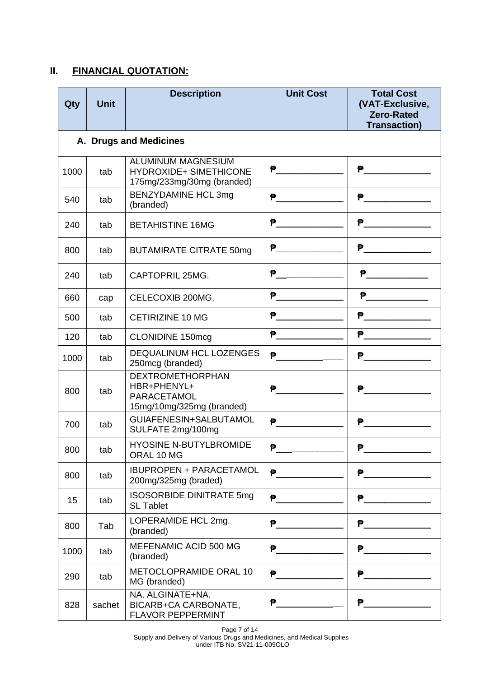### **II. FINANCIAL QUOTATION:**

| Qty  | <b>Unit</b>            | <b>Description</b>                                                                 | <b>Unit Cost</b>                         | <b>Total Cost</b><br>(VAT-Exclusive,<br><b>Zero-Rated</b><br><b>Transaction)</b>                                                                                                                                                            |  |  |  |
|------|------------------------|------------------------------------------------------------------------------------|------------------------------------------|---------------------------------------------------------------------------------------------------------------------------------------------------------------------------------------------------------------------------------------------|--|--|--|
|      | A. Drugs and Medicines |                                                                                    |                                          |                                                                                                                                                                                                                                             |  |  |  |
| 1000 | tab                    | ALUMINUM MAGNESIUM<br><b>HYDROXIDE+ SIMETHICONE</b><br>175mg/233mg/30mg (branded)  |                                          | <u>P______________</u>                                                                                                                                                                                                                      |  |  |  |
| 540  | tab                    | <b>BENZYDAMINE HCL 3mg</b><br>(branded)                                            | $\mathbf{P}$ and the set of $\mathbf{P}$ | P                                                                                                                                                                                                                                           |  |  |  |
| 240  | tab                    | <b>BETAHISTINE 16MG</b>                                                            | $\mathbf{P}$                             |                                                                                                                                                                                                                                             |  |  |  |
| 800  | tab                    | <b>BUTAMIRATE CITRATE 50mg</b>                                                     | <b>P________________</b>                 | P                                                                                                                                                                                                                                           |  |  |  |
| 240  | tab                    | CAPTOPRIL 25MG.                                                                    | $\mathbf{P}$ and the set of $\mathbf{P}$ | <u>P_______________</u>                                                                                                                                                                                                                     |  |  |  |
| 660  | cap                    | CELECOXIB 200MG.                                                                   | <u>P_____________</u>                    | <u>P______________</u>                                                                                                                                                                                                                      |  |  |  |
| 500  | tab                    | <b>CETIRIZINE 10 MG</b>                                                            | P                                        |                                                                                                                                                                                                                                             |  |  |  |
| 120  | tab                    | <b>CLONIDINE 150mcg</b>                                                            |                                          |                                                                                                                                                                                                                                             |  |  |  |
| 1000 | tab                    | <b>DEQUALINUM HCL LOZENGES</b><br>250mcg (branded)                                 | $\mathbf{P}$ and the set of $\mathbf{P}$ |                                                                                                                                                                                                                                             |  |  |  |
| 800  | tab                    | <b>DEXTROMETHORPHAN</b><br>HBR+PHENYL+<br>PARACETAMOL<br>15mg/10mg/325mg (branded) | <b>P</b> 2008年11月11日                     | <del>P</del> ercent products and the second products are the second products and the second products are the second products.<br>In the second products and the second products are the second product of the second product product in the |  |  |  |
| 700  | tab                    | GUIAFENESIN+SALBUTAMOL<br>SULFATE 2mg/100mg                                        | $P$ and the set of $\mathbb{R}^n$        | $\overline{\mathbf{P}}$ . The contract of $\overline{\mathbf{P}}$                                                                                                                                                                           |  |  |  |
| 800  | tab                    | <b>HYOSINE N-BUTYLBROMIDE</b><br>ORAL 10 MG                                        |                                          | ₱                                                                                                                                                                                                                                           |  |  |  |
| 800  | tab                    | <b>IBUPROPEN + PARACETAMOL</b><br>200mg/325mg (braded)                             | $P$ and the set of $P$                   | P______________                                                                                                                                                                                                                             |  |  |  |
| 15   | tab                    | <b>ISOSORBIDE DINITRATE 5mg</b><br><b>SL Tablet</b>                                | P                                        | P __________                                                                                                                                                                                                                                |  |  |  |
| 800  | Tab                    | LOPERAMIDE HCL 2mg.<br>(branded)                                                   | <b>P</b> 2008年11月                        | <u>P______________</u>                                                                                                                                                                                                                      |  |  |  |
| 1000 | tab                    | MEFENAMIC ACID 500 MG<br>(branded)                                                 | P                                        | P______________                                                                                                                                                                                                                             |  |  |  |
| 290  | tab                    | METOCLOPRAMIDE ORAL 10<br>MG (branded)                                             | P                                        | $P$ and the contract of $P$                                                                                                                                                                                                                 |  |  |  |
| 828  | sachet                 | NA. ALGINATE+NA.<br>BICARB+CA CARBONATE,<br><b>FLAVOR PEPPERMINT</b>               | <b>P</b> 2008年11月                        |                                                                                                                                                                                                                                             |  |  |  |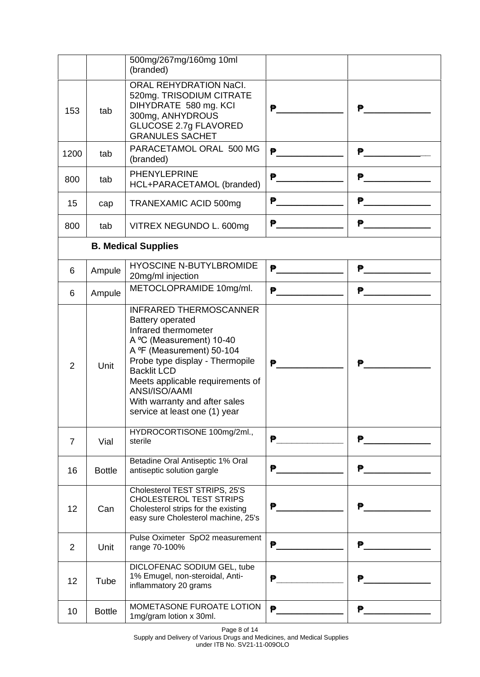|      |               | 500mg/267mg/160mg 10ml<br>(branded)                                                                                                                                                                                                                                                                                       |                                          |                                                                                                                             |
|------|---------------|---------------------------------------------------------------------------------------------------------------------------------------------------------------------------------------------------------------------------------------------------------------------------------------------------------------------------|------------------------------------------|-----------------------------------------------------------------------------------------------------------------------------|
| 153  | tab           | ORAL REHYDRATION NaCl.<br>520mg. TRISODIUM CITRATE<br>DIHYDRATE 580 mg. KCI<br>300mg, ANHYDROUS<br><b>GLUCOSE 2.7g FLAVORED</b><br><b>GRANULES SACHET</b>                                                                                                                                                                 | P                                        | ₱                                                                                                                           |
| 1200 | tab           | PARACETAMOL ORAL 500 MG<br>(branded)                                                                                                                                                                                                                                                                                      | <b>₹</b>                                 | <b>P</b> ____________                                                                                                       |
| 800  | tab           | PHENYLEPRINE<br>HCL+PARACETAMOL (branded)                                                                                                                                                                                                                                                                                 |                                          | P                                                                                                                           |
| 15   | cap           | TRANEXAMIC ACID 500mg                                                                                                                                                                                                                                                                                                     | P                                        | P                                                                                                                           |
| 800  | tab           | VITREX NEGUNDO L. 600mg                                                                                                                                                                                                                                                                                                   | $\mathbf{P}$ and the set of $\mathbf{P}$ | <b>P</b>                                                                                                                    |
|      |               | <b>B. Medical Supplies</b>                                                                                                                                                                                                                                                                                                |                                          |                                                                                                                             |
| 6    | Ampule        | <b>HYOSCINE N-BUTYLBROMIDE</b><br>20mg/ml injection                                                                                                                                                                                                                                                                       | P                                        | <u>P______________</u>                                                                                                      |
| 6    | Ampule        | METOCLOPRAMIDE 10mg/ml.                                                                                                                                                                                                                                                                                                   | $P$ and the set of $\mathbb{R}^n$        | P                                                                                                                           |
| 2    | Unit          | <b>INFRARED THERMOSCANNER</b><br><b>Battery operated</b><br>Infrared thermometer<br>A °C (Measurement) 10-40<br>A ºF (Measurement) 50-104<br>Probe type display - Thermopile<br><b>Backlit LCD</b><br>Meets applicable requirements of<br>ANSI/ISO/AAMI<br>With warranty and after sales<br>service at least one (1) year | ₱                                        | Ð                                                                                                                           |
| 7    | Vial          | HYDROCORTISONE 100mg/2ml.,<br>sterile                                                                                                                                                                                                                                                                                     | ₽.                                       | <u>P_____________</u>                                                                                                       |
| 16   | <b>Bottle</b> | Betadine Oral Antiseptic 1% Oral<br>antiseptic solution gargle                                                                                                                                                                                                                                                            | ₽.                                       | P                                                                                                                           |
| 12   | Can           | Cholesterol TEST STRIPS, 25'S<br><b>CHOLESTEROL TEST STRIPS</b><br>Cholesterol strips for the existing<br>easy sure Cholesterol machine, 25's                                                                                                                                                                             | <u>P_________</u>                        | ₱ …                                                                                                                         |
| 2    | Unit          | Pulse Oximeter SpO2 measurement<br>range 70-100%                                                                                                                                                                                                                                                                          | ₱                                        | P                                                                                                                           |
| 12   | Tube          | DICLOFENAC SODIUM GEL, tube<br>1% Emugel, non-steroidal, Anti-<br>inflammatory 20 grams                                                                                                                                                                                                                                   | ₱                                        | ₱                                                                                                                           |
| 10   | <b>Bottle</b> | MOMETASONE FUROATE LOTION<br>1mg/gram lotion x 30ml.                                                                                                                                                                                                                                                                      | P.                                       | ₽.<br><u> 1980 - Jan Barat, prima prima prima prima prima prima prima prima prima prima prima prima prima prima prima p</u> |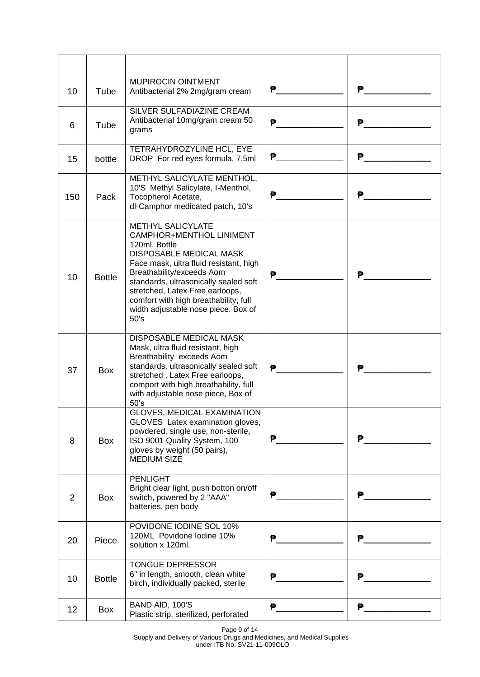| 10             | Tube          | MUPIROCIN OINTMENT<br>Antibacterial 2% 2mg/gram cream                                                                                                                                                                                                                                                                                              | P                      | P           |
|----------------|---------------|----------------------------------------------------------------------------------------------------------------------------------------------------------------------------------------------------------------------------------------------------------------------------------------------------------------------------------------------------|------------------------|-------------|
| 6              | Tube          | SILVER SULFADIAZINE CREAM<br>Antibacterial 10mg/gram cream 50<br>grams                                                                                                                                                                                                                                                                             | ₱                      | ₱           |
| 15             | bottle        | <b>TETRAHYDROZYLINE HCL, EYE</b><br>DROP For red eyes formula, 7.5ml                                                                                                                                                                                                                                                                               | $P$ and the set of $P$ | <b>P</b>    |
| 150            | Pack          | METHYL SALICYLATE MENTHOL,<br>10'S Methyl Salicylate, I-Menthol,<br>Tocopherol Acetate,<br>dl-Camphor medicated patch, 10's                                                                                                                                                                                                                        | ₱                      | ₱           |
| 10             | <b>Bottle</b> | <b>METHYL SALICYLATE</b><br>CAMPHOR+MENTHOL LINIMENT<br>120ml. Bottle<br><b>DISPOSABLE MEDICAL MASK</b><br>Face mask, ultra fluid resistant, high<br>Breathability/exceeds Aom<br>standards, ultrasonically sealed soft<br>stretched, Latex Free earloops,<br>comfort with high breathability, full<br>width adjustable nose piece. Box of<br>50's | P                      | ₿           |
| 37             | Box           | DISPOSABLE MEDICAL MASK<br>Mask, ultra fluid resistant, high<br>Breathability exceeds Aom<br>standards, ultrasonically sealed soft<br>stretched, Latex Free earloops,<br>comport with high breathability, full<br>with adjustable nose piece, Box of<br>50's                                                                                       | ₱                      | ₱           |
| 8              | Box           | GLOVES, MEDICAL EXAMINATION<br>GLOVES Latex examination gloves,<br>powdered, single use, non-sterile,<br>ISO 9001 Quality System, 100<br>gloves by weight (50 pairs),<br><b>MEDIUM SIZE</b>                                                                                                                                                        | ₱                      | ₱           |
| $\overline{2}$ | Box           | <b>PENLIGHT</b><br>Bright clear light, push botton on/off<br>switch, powered by 2 "AAA"<br>batteries, pen body                                                                                                                                                                                                                                     | ₱                      |             |
| 20             | Piece         | POVIDONE IODINE SOL 10%<br>120ML Povidone lodine 10%<br>solution x 120ml.                                                                                                                                                                                                                                                                          | ₱                      | ₱           |
| 10             | <b>Bottle</b> | TONGUE DEPRESSOR<br>6" in length, smooth, clean white<br>birch, individually packed, sterile                                                                                                                                                                                                                                                       | ₱                      | ₱           |
| 12             | Box           | BAND AID, 100'S<br>Plastic strip, sterilized, perforated                                                                                                                                                                                                                                                                                           | P.                     | 2010年11月11日 |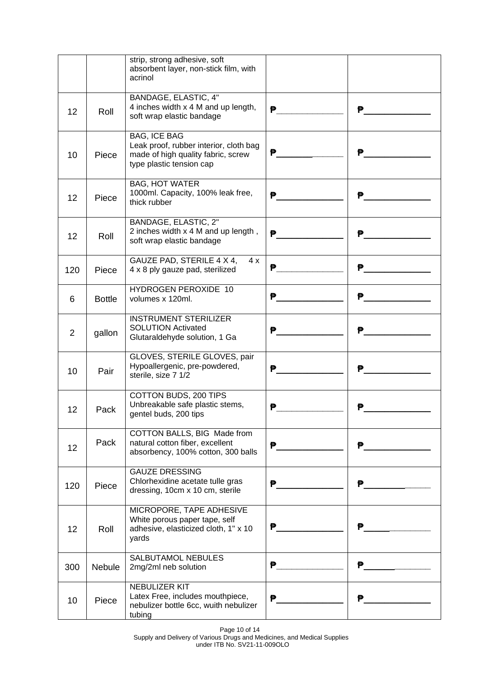|                 |               | strip, strong adhesive, soft<br>absorbent layer, non-stick film, with<br>acrinol                                                |             |                         |
|-----------------|---------------|---------------------------------------------------------------------------------------------------------------------------------|-------------|-------------------------|
| 12 <sub>2</sub> | Roll          | BANDAGE, ELASTIC, 4"<br>4 inches width x 4 M and up length,<br>soft wrap elastic bandage                                        |             | P                       |
| 10              | Piece         | <b>BAG, ICE BAG</b><br>Leak proof, rubber interior, cloth bag<br>made of high quality fabric, screw<br>type plastic tension cap | $P$ and $P$ | ₹P                      |
| 12              | Piece         | <b>BAG, HOT WATER</b><br>1000ml. Capacity, 100% leak free,<br>thick rubber                                                      | <b>P</b>    | ₹P                      |
| 12 <sup>2</sup> | Roll          | BANDAGE, ELASTIC, 2"<br>2 inches width x 4 M and up length,<br>soft wrap elastic bandage                                        | P           | $\mathbf{P}$            |
| 120             | Piece         | GAUZE PAD, STERILE 4 X 4,<br>4x<br>4 x 8 ply gauze pad, sterilized                                                              | ₱           |                         |
| 6               | <b>Bottle</b> | HYDROGEN PEROXIDE 10<br>volumes x 120ml.                                                                                        | ₽.          |                         |
| $\overline{2}$  | gallon        | <b>INSTRUMENT STERILIZER</b><br><b>SOLUTION Activated</b><br>Glutaraldehyde solution, 1 Ga                                      | <b>P</b>    | <u>P_______________</u> |
| 10 <sup>°</sup> | Pair          | GLOVES, STERILE GLOVES, pair<br>Hypoallergenic, pre-powdered,<br>sterile, size 7 1/2                                            | P           |                         |
| 12              | Pack          | COTTON BUDS, 200 TIPS<br>Unbreakable safe plastic stems,<br>gentel buds, 200 tips                                               | ₱           | ₱                       |
| 12              | Pack          | COTTON BALLS, BIG Made from<br>natural cotton fiber, excellent<br>absorbency, 100% cotton, 300 balls                            | ₱           | ₱                       |
| 120             | Piece         | <b>GAUZE DRESSING</b><br>Chlorhexidine acetate tulle gras<br>dressing, 10cm x 10 cm, sterile                                    | ₱           | P                       |
| 12              | Roll          | MICROPORE, TAPE ADHESIVE<br>White porous paper tape, self<br>adhesive, elasticized cloth, 1" x 10<br>yards                      | ₽.          | ₱                       |
| 300             | <b>Nebule</b> | SALBUTAMOL NEBULES<br>2mg/2ml neb solution                                                                                      | P           | ₿.                      |
| 10              | Piece         | NEBULIZER KIT<br>Latex Free, includes mouthpiece,<br>nebulizer bottle 6cc, wuith nebulizer<br>tubing                            | ₱           | ₱                       |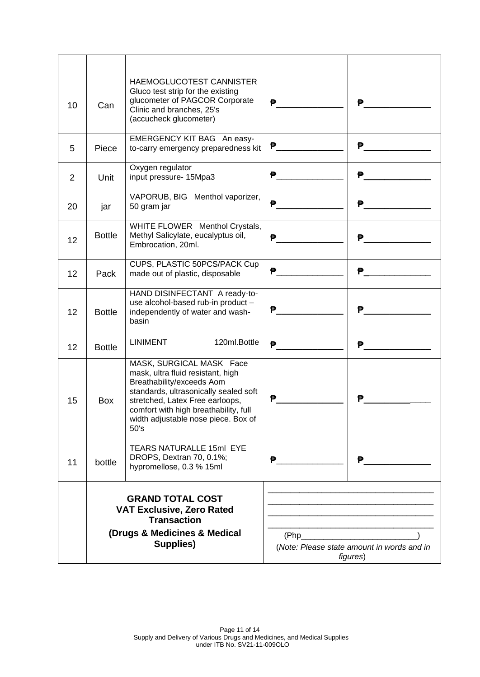| 10 | Can                                                                                                                            | HAEMOGLUCOTEST CANNISTER<br>Gluco test strip for the existing<br>glucometer of PAGCOR Corporate<br>Clinic and branches, 25's<br>(accucheck glucometer)                                                                                                         | $\mathbf{P}$ and the set of $\mathbf{P}$ | ₱                                                      |
|----|--------------------------------------------------------------------------------------------------------------------------------|----------------------------------------------------------------------------------------------------------------------------------------------------------------------------------------------------------------------------------------------------------------|------------------------------------------|--------------------------------------------------------|
| 5  | Piece                                                                                                                          | EMERGENCY KIT BAG An easy-<br>to-carry emergency preparedness kit                                                                                                                                                                                              | P                                        | <b>P_____________</b>                                  |
| 2  | Unit                                                                                                                           | Oxygen regulator<br>input pressure- 15Mpa3                                                                                                                                                                                                                     |                                          |                                                        |
| 20 | jar                                                                                                                            | VAPORUB, BIG Menthol vaporizer,<br>50 gram jar                                                                                                                                                                                                                 | <del>P</del>                             | P                                                      |
| 12 | <b>Bottle</b>                                                                                                                  | WHITE FLOWER Menthol Crystals,<br>Methyl Salicylate, eucalyptus oil,<br>Embrocation, 20ml.                                                                                                                                                                     | ₱                                        | ₱                                                      |
| 12 | Pack                                                                                                                           | CUPS, PLASTIC 50PCS/PACK Cup<br>made out of plastic, disposable                                                                                                                                                                                                | <b>P</b> _____                           |                                                        |
| 12 | <b>Bottle</b>                                                                                                                  | HAND DISINFECTANT A ready-to-<br>use alcohol-based rub-in product -<br>independently of water and wash-<br>basin                                                                                                                                               | ₱.                                       | ₱                                                      |
| 12 | <b>Bottle</b>                                                                                                                  | <b>LINIMENT</b><br>120ml.Bottle                                                                                                                                                                                                                                | ₽.                                       | $\mathbf{P}$ and the set of $\mathbf{P}$               |
| 15 | Box                                                                                                                            | MASK, SURGICAL MASK Face<br>mask, ultra fluid resistant, high<br>Breathability/exceeds Aom<br>standards, ultrasonically sealed soft<br>stretched, Latex Free earloops,<br>comfort with high breathability, full<br>width adjustable nose piece. Box of<br>50's | ₱                                        | ₱                                                      |
| 11 | bottle                                                                                                                         | <b>TEARS NATURALLE 15ml EYE</b><br>DROPS, Dextran 70, 0.1%;<br>hypromellose, 0.3 % 15ml                                                                                                                                                                        | ₱                                        | ₹P                                                     |
|    | <b>GRAND TOTAL COST</b><br><b>VAT Exclusive, Zero Rated</b><br><b>Transaction</b><br>(Drugs & Medicines & Medical<br>Supplies) |                                                                                                                                                                                                                                                                | (Php                                     | (Note: Please state amount in words and in<br>figures) |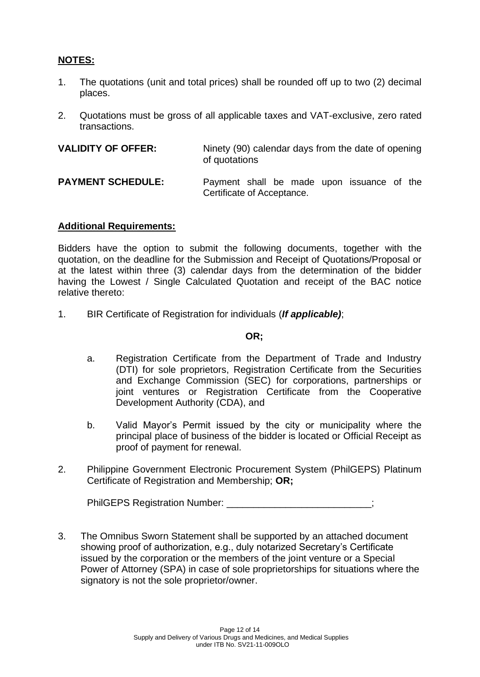# **NOTES:**

- 1. The quotations (unit and total prices) shall be rounded off up to two (2) decimal places.
- 2. Quotations must be gross of all applicable taxes and VAT-exclusive, zero rated transactions.

| <b>VALIDITY OF OFFER:</b> | Ninety (90) calendar days from the date of opening<br>of quotations      |
|---------------------------|--------------------------------------------------------------------------|
| <b>PAYMENT SCHEDULE:</b>  | Payment shall be made upon issuance of the<br>Certificate of Acceptance. |

### **Additional Requirements:**

Bidders have the option to submit the following documents, together with the quotation, on the deadline for the Submission and Receipt of Quotations/Proposal or at the latest within three (3) calendar days from the determination of the bidder having the Lowest / Single Calculated Quotation and receipt of the BAC notice relative thereto:

1. BIR Certificate of Registration for individuals (*If applicable)*;

#### **OR;**

- a. Registration Certificate from the Department of Trade and Industry (DTI) for sole proprietors, Registration Certificate from the Securities and Exchange Commission (SEC) for corporations, partnerships or joint ventures or Registration Certificate from the Cooperative Development Authority (CDA), and
- b. Valid Mayor's Permit issued by the city or municipality where the principal place of business of the bidder is located or Official Receipt as proof of payment for renewal.
- 2. Philippine Government Electronic Procurement System (PhilGEPS) Platinum Certificate of Registration and Membership; **OR;**

| <b>PhilGEPS Registration Number:</b> |  |
|--------------------------------------|--|
|--------------------------------------|--|

3. The Omnibus Sworn Statement shall be supported by an attached document showing proof of authorization, e.g., duly notarized Secretary's Certificate issued by the corporation or the members of the joint venture or a Special Power of Attorney (SPA) in case of sole proprietorships for situations where the signatory is not the sole proprietor/owner.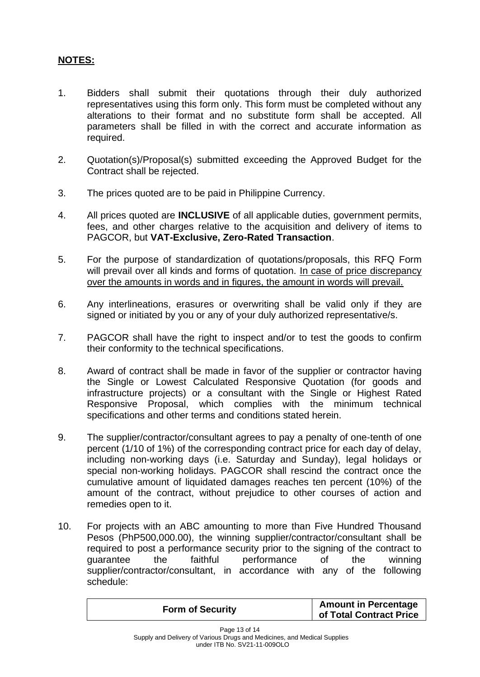# **NOTES:**

- 1. Bidders shall submit their quotations through their duly authorized representatives using this form only. This form must be completed without any alterations to their format and no substitute form shall be accepted. All parameters shall be filled in with the correct and accurate information as required.
- 2. Quotation(s)/Proposal(s) submitted exceeding the Approved Budget for the Contract shall be rejected.
- 3. The prices quoted are to be paid in Philippine Currency.
- 4. All prices quoted are **INCLUSIVE** of all applicable duties, government permits, fees, and other charges relative to the acquisition and delivery of items to PAGCOR, but **VAT-Exclusive, Zero-Rated Transaction**.
- 5. For the purpose of standardization of quotations/proposals, this RFQ Form will prevail over all kinds and forms of quotation. In case of price discrepancy over the amounts in words and in figures, the amount in words will prevail.
- 6. Any interlineations, erasures or overwriting shall be valid only if they are signed or initiated by you or any of your duly authorized representative/s.
- 7. PAGCOR shall have the right to inspect and/or to test the goods to confirm their conformity to the technical specifications.
- 8. Award of contract shall be made in favor of the supplier or contractor having the Single or Lowest Calculated Responsive Quotation (for goods and infrastructure projects) or a consultant with the Single or Highest Rated Responsive Proposal, which complies with the minimum technical specifications and other terms and conditions stated herein.
- 9. The supplier/contractor/consultant agrees to pay a penalty of one-tenth of one percent (1/10 of 1%) of the corresponding contract price for each day of delay, including non-working days (i.e. Saturday and Sunday), legal holidays or special non-working holidays. PAGCOR shall rescind the contract once the cumulative amount of liquidated damages reaches ten percent (10%) of the amount of the contract, without prejudice to other courses of action and remedies open to it.
- 10. For projects with an ABC amounting to more than Five Hundred Thousand Pesos (PhP500,000.00), the winning supplier/contractor/consultant shall be required to post a performance security prior to the signing of the contract to guarantee the faithful performance of the winning supplier/contractor/consultant, in accordance with any of the following schedule:

| <b>Form of Security</b> | <b>Amount in Percentage</b><br>of Total Contract Price |
|-------------------------|--------------------------------------------------------|
|                         |                                                        |